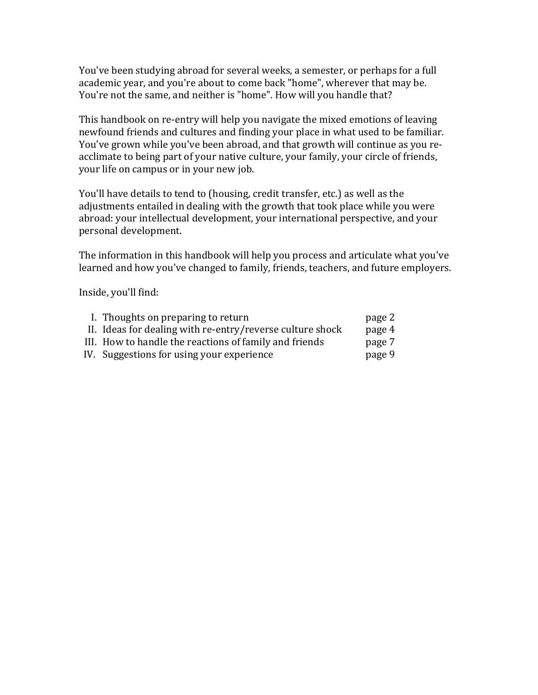You've been studying abroad for several weeks, a semester, or perhaps for a full academic year, and you're about to come back "home", wherever that may be. You're not the same, and neither is "home". How will you handle that?

This handbook on re-entry will help you navigate the mixed emotions of leaving newfound friends and cultures and finding your place in what used to be familiar. You've grown while you've been abroad, and that growth will continue as you reacclimate to being part of your native culture, your family, your circle of friends, your life on campus or in your new job.

You'll have details to tend to (housing, credit transfer, etc.) as well as the adjustments entailed in dealing with the growth that took place while you were abroad: your intellectual development, your international perspective, and your personal development.

The information in this handbook will help you process and articulate what you've learned and how you've changed to family, friends, teachers, and future employers.

Inside, you'll find:

| I. Thoughts on preparing to return                        | page 2 |
|-----------------------------------------------------------|--------|
| II. Ideas for dealing with re-entry/reverse culture shock | page 4 |
| III. How to handle the reactions of family and friends    | page 7 |
| IV. Suggestions for using your experience                 | page 9 |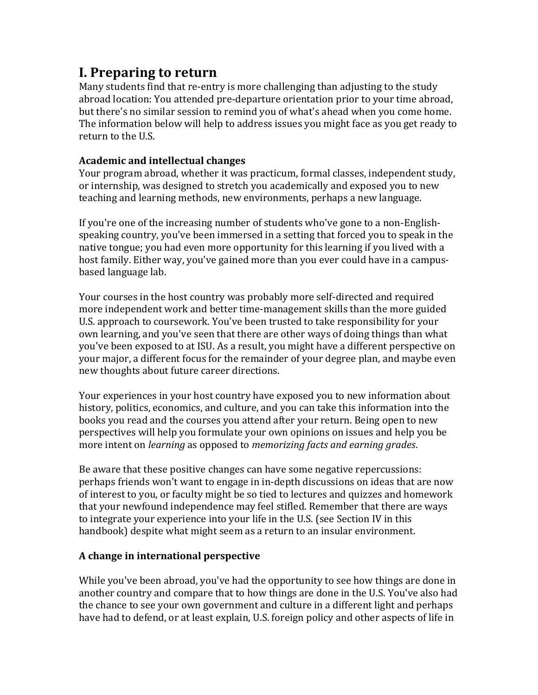# **I. Preparing to return**

Many students find that re-entry is more challenging than adjusting to the study abroad location: You attended pre-departure orientation prior to your time abroad, but there's no similar session to remind you of what's ahead when you come home. The information below will help to address issues you might face as you get ready to return to the U.S.

### **Academic#and#intellectual#changes**

Your program abroad, whether it was practicum, formal classes, independent study, or internship, was designed to stretch you academically and exposed you to new teaching and learning methods, new environments, perhaps a new language.

If you're one of the increasing number of students who've gone to a non-Englishspeaking country, you've been immersed in a setting that forced you to speak in the native tongue; you had even more opportunity for this learning if you lived with a host family. Either way, you've gained more than you ever could have in a campusbased language lab.

Your courses in the host country was probably more self-directed and required more independent work and better time-management skills than the more guided U.S. approach to coursework. You've been trusted to take responsibility for your own learning, and you've seen that there are other ways of doing things than what you've been exposed to at ISU. As a result, you might have a different perspective on your major, a different focus for the remainder of your degree plan, and maybe even new thoughts about future career directions.

Your experiences in your host country have exposed you to new information about history, politics, economics, and culture, and you can take this information into the books you read and the courses you attend after your return. Being open to new perspectives'will'help'you'formulate'your'own'opinions'on'issues'and'help'you'be' more intent on *learning* as opposed to *memorizing facts and earning grades.* 

Be aware that these positive changes can have some negative repercussions: perhaps friends won't want to engage in in-depth discussions on ideas that are now of interest to you, or faculty might be so tied to lectures and quizzes and homework that your newfound independence may feel stifled. Remember that there are ways to integrate your experience into your life in the U.S. (see Section IV in this handbook) despite what might seem as a return to an insular environment.

#### A change in international perspective

While you've been abroad, you've had the opportunity to see how things are done in another country and compare that to how things are done in the U.S. You've also had the chance to see your own government and culture in a different light and perhaps have had to defend, or at least explain, U.S. foreign policy and other aspects of life in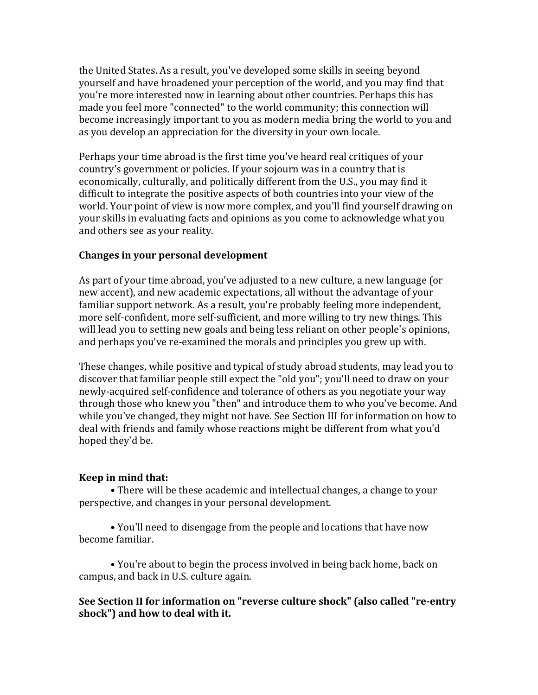the United States. As a result, you've developed some skills in seeing beyond yourself and have broadened your perception of the world, and you may find that you're more interested now in learning about other countries. Perhaps this has made you feel more "connected" to the world community; this connection will become increasingly important to you as modern media bring the world to you and as you develop an appreciation for the diversity in your own locale.

Perhaps your time abroad is the first time you've heard real critiques of your country's government or policies. If your sojourn was in a country that is economically, culturally, and politically different from the U.S., you may find it difficult to integrate the positive aspects of both countries into your view of the world. Your point of view is now more complex, and you'll find yourself drawing on your skills in evaluating facts and opinions as you come to acknowledge what you and others see as your reality.

#### **Changes in your personal development**

As part of your time abroad, you've adjusted to a new culture, a new language (or new accent), and new academic expectations, all without the advantage of your familiar'support network. As a result, you're probably feeling more independent, more self-confident, more self-sufficient, and more willing to try new things. This will lead you to setting new goals and being less reliant on other people's opinions, and perhaps you've re-examined the morals and principles you grew up with.

These changes, while positive and typical of study abroad students, may lead you to discover that familiar people still expect the "old you"; you'll need to draw on your newly-acquired self-confidence and tolerance of others as you negotiate your way through those who knew you "then" and introduce them to who you've become. And while you've changed, they might not have. See Section III for information on how to deal with friends and family whose reactions might be different from what you'd hoped they'd be.

#### **Keep in mind that:**

• There will be these academic and intellectual changes, a change to your perspective, and changes in your personal development.

• You'll need to disengage from the people and locations that have now become familiar.

• You're about to begin the process involved in being back home, back on campus, and back in U.S. culture again.

### See Section II for information on "reverse culture shock" (also called "re-entry shock") and how to deal with it.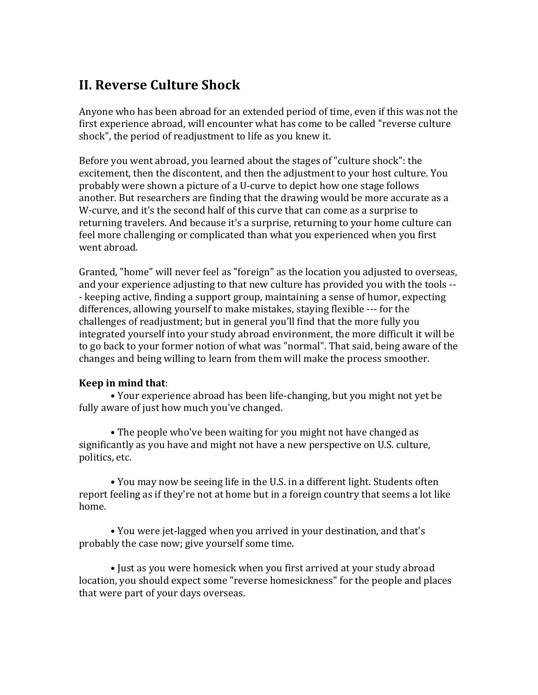# **II. Reverse Culture Shock**

Anyone who has been abroad for an extended period of time, even if this was not the first experience abroad, will encounter what has come to be called "reverse culture' shock", the period of readjustment to life as you knew it.

Before you went abroad, you learned about the stages of "culture shock": the excitement, then the discontent, and then the adjustment to your host culture. You probably were shown a picture of a U-curve to depict how one stage follows another. But researchers are finding that the drawing would be more accurate as a W-curve, and it's the second half of this curve that can come as a surprise to returning travelers. And because it's a surprise, returning to your home culture can feel more challenging or complicated than what you experienced when you first went abroad.

Granted, "home" will never feel as "foreign" as the location you adjusted to overseas, and your experience adjusting to that new culture has provided you with the tools --- keeping active, finding a support group, maintaining a sense of humor, expecting differences, allowing yourself to make mistakes, staying flexible --- for the challenges of readjustment; but in general you'll find that the more fully you integrated yourself into your study abroad environment, the more difficult it will be to go back to your former notion of what was "normal". That said, being aware of the changes and being willing to learn from them will make the process smoother.

#### **Keep in mind that:**

• Your experience abroad has been life-changing, but you might not yet be fully aware of just how much you've changed.

• The people who've been waiting for you might not have changed as significantly as you have and might not have a new perspective on U.S. culture, politics, etc.

• You may now be seeing life in the U.S. in a different light. Students often report feeling as if they're not at home but in a foreign country that seems a lot like home.

• You were jet-lagged when you arrived in your destination, and that's probably the case now; give yourself some time.

• Just as you were homesick when you first arrived at your study abroad location, you should expect some "reverse homesickness" for the people and places that were part of your days overseas.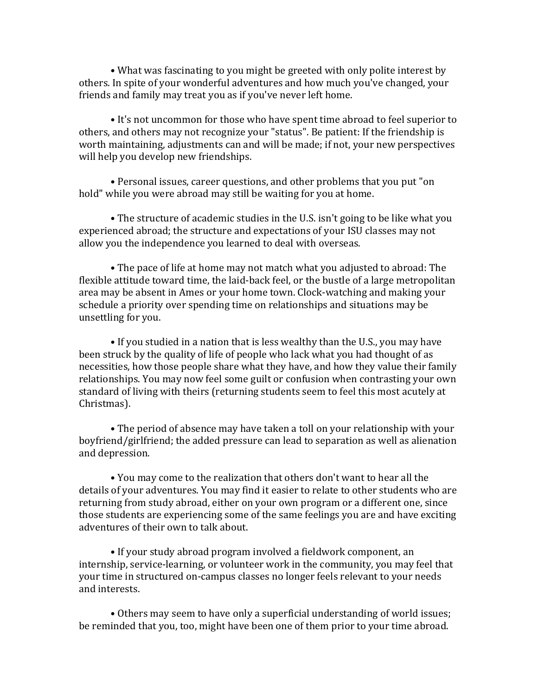• What was fascinating to you might be greeted with only polite interest by others. In spite of your wonderful adventures and how much you've changed, your friends and family may treat you as if you've never left home.

• It's not uncommon for those who have spent time abroad to feel superior to others, and others may not recognize your "status". Be patient: If the friendship is worth maintaining, adjustments can and will be made; if not, your new perspectives will help you develop new friendships.

• Personal issues, career questions, and other problems that you put "on" hold" while you were abroad may still be waiting for you at home.

• The structure of academic studies in the U.S. isn't going to be like what you experienced abroad; the structure and expectations of your ISU classes may not allow you the independence you learned to deal with overseas.

• The pace of life at home may not match what you adjusted to abroad: The flexible attitude toward time, the laid-back feel, or the bustle of a large metropolitan area may be absent in Ames or your home town. Clock-watching and making your schedule a priority over spending time on relationships and situations may be unsettling for you.

• If you studied in a nation that is less wealthy than the U.S., you may have been struck by the quality of life of people who lack what you had thought of as necessities, how those people share what they have, and how they value their family relationships. You may now feel some guilt or confusion when contrasting your own standard of living with theirs (returning students seem to feel this most acutely at Christmas).

• The period of absence may have taken a toll on your relationship with your boyfriend/girlfriend; the added pressure can lead to separation as well as alienation and depression.

• You may come to the realization that others don't want to hear all the details of your adventures. You may find it easier to relate to other students who are returning from study abroad, either on your own program or a different one, since those students are experiencing some of the same feelings you are and have exciting adventures of their own to talk about.

• If your study abroad program involved a fieldwork component, an internship, service-learning, or volunteer work in the community, you may feel that your time in structured on-campus classes no longer feels relevant to your needs and'interests.

• Others may seem to have only a superficial understanding of world issues; be reminded that you, too, might have been one of them prior to your time abroad.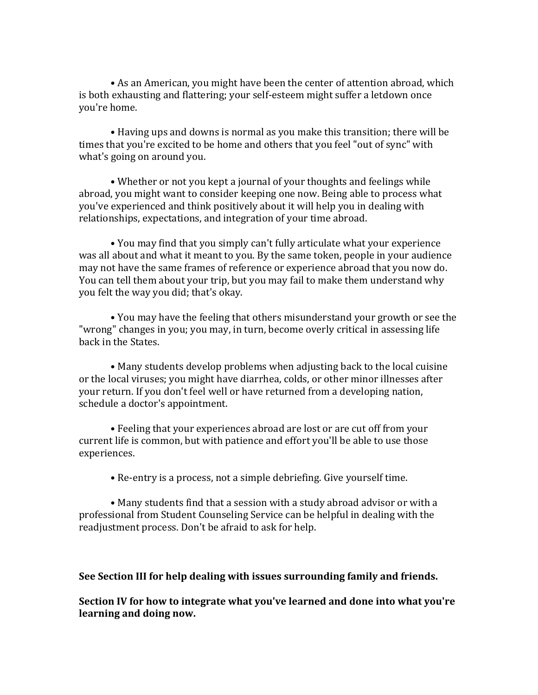• As an American, you might have been the center of attention abroad, which is both exhausting and flattering; your self-esteem might suffer a letdown once you're home.

• Having ups and downs is normal as you make this transition; there will be times that you're excited to be home and others that you feel "out of sync" with what's going on around you.

• Whether or not you kept a journal of your thoughts and feelings while abroad, you might want to consider keeping one now. Being able to process what you've experienced and think positively about it will help you in dealing with relationships, expectations, and integration of your time abroad.

• You may find that you simply can't fully articulate what your experience was all about and what it meant to you. By the same token, people in your audience may not have the same frames of reference or experience abroad that you now do. You can tell them about your trip, but you may fail to make them understand why you felt the way you did; that's okay.

• You may have the feeling that others misunderstand your growth or see the "wrong" changes in you; you may, in turn, become overly critical in assessing life back in the States.

• Many students develop problems when adjusting back to the local cuisine or the local viruses; you might have diarrhea, colds, or other minor illnesses after your return. If you don't feel well or have returned from a developing nation, schedule a doctor's appointment.

• Feeling that your experiences abroad are lost or are cut off from your current life is common, but with patience and effort you'll be able to use those experiences.

• Re-entry is a process, not a simple debriefing. Give yourself time.

• Many students find that a session with a study abroad advisor or with a professional from Student Counseling Service can be helpful in dealing with the readjustment process. Don't be afraid to ask for help.

**See Section III for help dealing with issues surrounding family and friends.** 

**Section IV** for how to integrate what you've learned and done into what you're learning and doing now.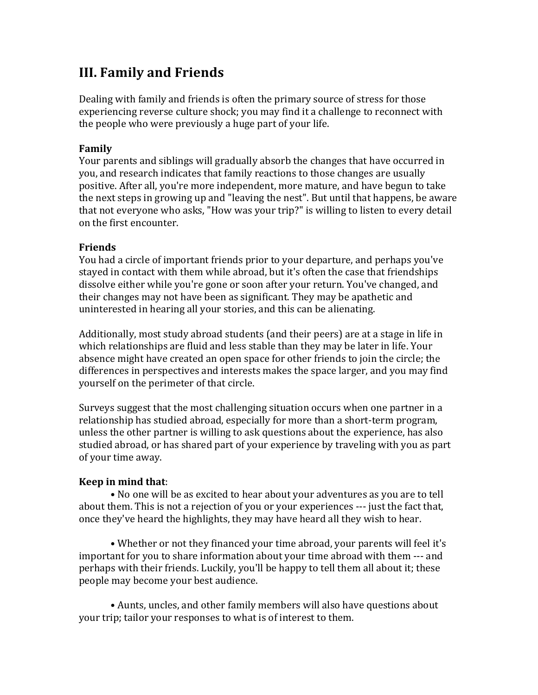# **III. Family and Friends**

Dealing with family and friends is often the primary source of stress for those experiencing reverse culture shock; you may find it a challenge to reconnect with the people who were previously a huge part of your life.

#### **Family**

Your parents and siblings will gradually absorb the changes that have occurred in you, and research indicates that family reactions to those changes are usually positive. After all, you're more independent, more mature, and have begun to take the next steps in growing up and "leaving the nest". But until that happens, be aware that not everyone who asks, "How was your trip?" is willing to listen to every detail on the first encounter.

### **Friends**

You had a circle of important friends prior to your departure, and perhaps you've stayed in contact with them while abroad, but it's often the case that friendships dissolve either while you're gone or soon after your return. You've changed, and their changes may not have been as significant. They may be apathetic and uninterested in hearing all your stories, and this can be alienating.

Additionally, most study abroad students (and their peers) are at a stage in life in which relationships are fluid and less stable than they may be later in life. Your absence might have created an open space for other friends to join the circle; the differences in perspectives and interests makes the space larger, and you may find yourself on the perimeter of that circle.

Surveys suggest that the most challenging situation occurs when one partner in a relationship has studied abroad, especially for more than a short-term program, unless the other partner is willing to ask questions about the experience, has also studied abroad, or has shared part of your experience by traveling with you as part of your time away.

### **Keep in mind that:**

• No one will be as excited to hear about your adventures as you are to tell about them. This is not a rejection of you or your experiences --- just the fact that, once they've heard the highlights, they may have heard all they wish to hear.

• Whether or not they financed your time abroad, your parents will feel it's important for you to share information about your time abroad with them --- and perhaps with their friends. Luckily, you'll be happy to tell them all about it; these people may become your best audience.

• Aunts, uncles, and other family members will also have questions about your trip; tailor your responses to what is of interest to them.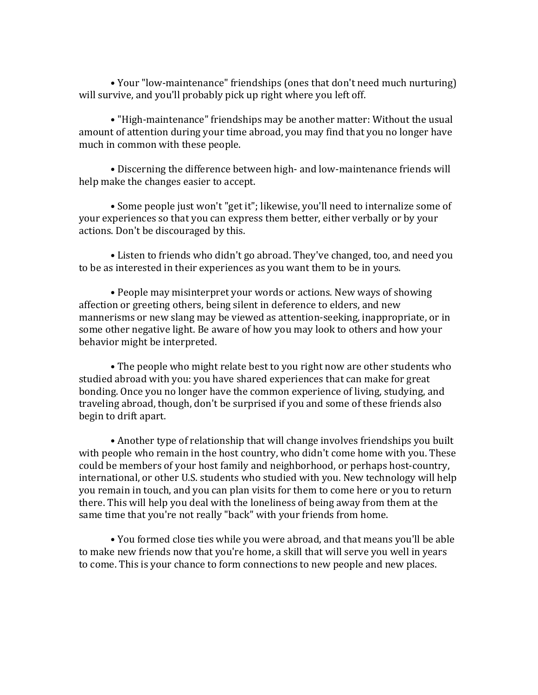• Your "low-maintenance" friendships (ones that don't need much nurturing) will survive, and you'll probably pick up right where you left off.

• "High-maintenance" friendships may be another matter: Without the usual amount of attention during your time abroad, you may find that you no longer have much in common with these people.

• Discerning the difference between high- and low-maintenance friends will help make the changes easier to accept.

• Some people just won't "get it"; likewise, you'll need to internalize some of your experiences so that you can express them better, either verbally or by your actions. Don't be discouraged by this.

• Listen to friends who didn't go abroad. They've changed, too, and need you to be as interested in their experiences as you want them to be in yours.

• People may misinterpret your words or actions. New ways of showing affection or greeting others, being silent in deference to elders, and new mannerisms or new slang may be viewed as attention-seeking, inappropriate, or in some other negative light. Be aware of how you may look to others and how your behavior might be interpreted.

• The people who might relate best to you right now are other students who studied abroad with you: you have shared experiences that can make for great bonding. Once you no longer have the common experience of living, studying, and traveling abroad, though, don't be surprised if you and some of these friends also begin to drift apart.

• Another type of relationship that will change involves friendships you built with people who remain in the host country, who didn't come home with you. These could be members of your host family and neighborhood, or perhaps host-country, international, or other U.S. students who studied with you. New technology will help you remain in touch, and you can plan visits for them to come here or you to return there. This will help you deal with the loneliness of being away from them at the same time that you're not really "back" with your friends from home.

• You formed close ties while you were abroad, and that means you'll be able to make new friends now that you're home, a skill that will serve you well in years to come. This is your chance to form connections to new people and new places.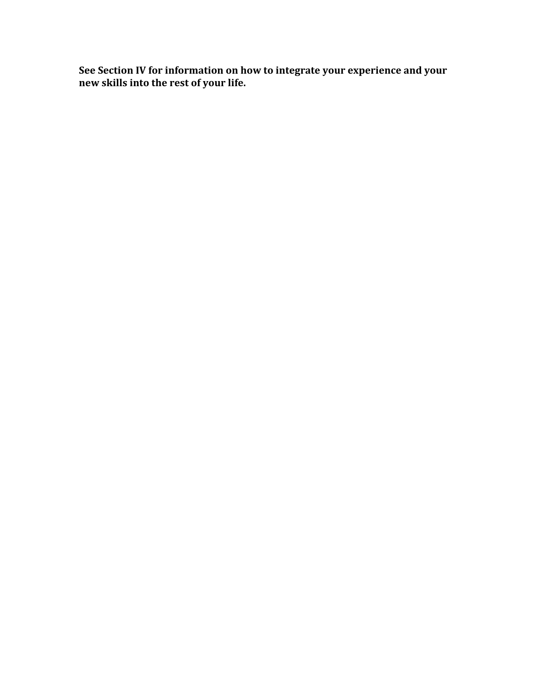See Section IV for information on how to integrate your experience and your **new#skills#into#the#rest#of#your#life.**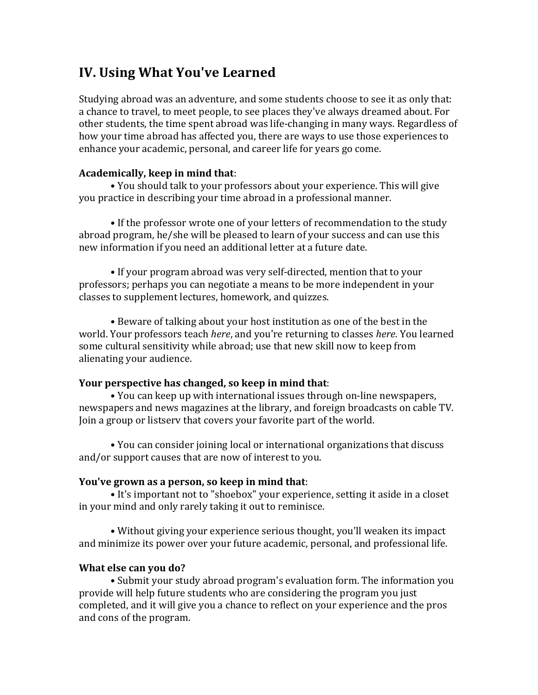# **IV. Using What You've Learned**

Studying abroad was an adventure, and some students choose to see it as only that: a chance to travel, to meet people, to see places they've always dreamed about. For other students, the time spent abroad was life-changing in many ways. Regardless of how your time abroad has affected you, there are ways to use those experiences to enhance your academic, personal, and career life for years go come.

### Academically, keep in mind that:

• You should talk to your professors about your experience. This will give you practice in describing your time abroad in a professional manner.

• If the professor wrote one of your letters of recommendation to the study abroad program, he/she will be pleased to learn of your success and can use this new information if you need an additional letter at a future date.

• If your program abroad was very self-directed, mention that to your professors;'perhaps'you'can'negotiate'a'means'to'be'more'independent'in'your' classes to supplement lectures, homework, and quizzes.

• Beware of talking about your host institution as one of the best in the world.'Your'professors'teach'*here*,'and'you're'returning'to'classes'*here*.'You'learned' some cultural sensitivity while abroad; use that new skill now to keep from alienating your audience.

#### **Your perspective has changed, so keep in mind that:**

• You can keep up with international issues through on-line newspapers, newspapers and news magazines at the library, and foreign broadcasts on cable TV. Join a group or listsery that covers your favorite part of the world.

• You can consider joining local or international organizations that discuss and/or support causes that are now of interest to you.

#### **You've grown as a person, so keep in mind that:**

• It's important not to "shoebox" your experience, setting it aside in a closet in your mind and only rarely taking it out to reminisce.

• Without giving your experience serious thought, you'll weaken its impact and minimize its power over your future academic, personal, and professional life.

### **What else can you do?**

• Submit your study abroad program's evaluation form. The information you provide will help future students who are considering the program you just completed, and it will give you a chance to reflect on your experience and the pros and cons of the program.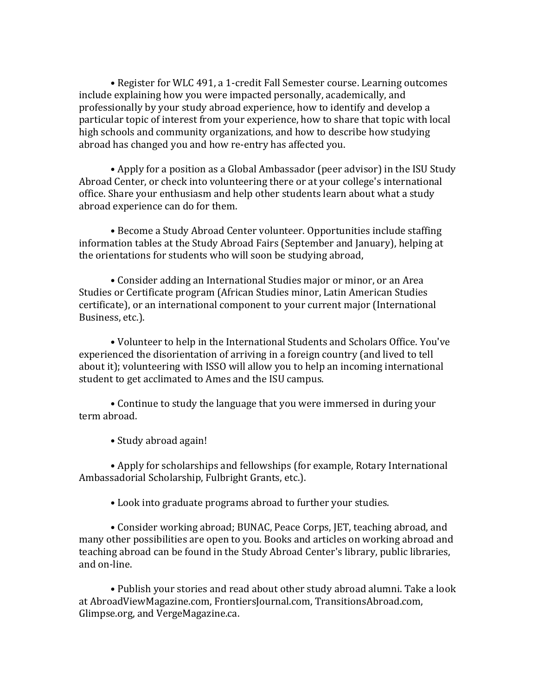• Register for WLC 491, a 1-credit Fall Semester course. Learning outcomes include explaining how you were impacted personally, academically, and professionally by your study abroad experience, how to identify and develop a particular topic of interest from your experience, how to share that topic with local high schools and community organizations, and how to describe how studying abroad has changed you and how re-entry has affected you.

• Apply for a position as a Global Ambassador (peer advisor) in the ISU Study Abroad Center, or check into volunteering there or at your college's international office. Share your enthusiasm and help other students learn about what a study abroad experience can do for them.

• Become a Study Abroad Center volunteer. Opportunities include staffing information tables at the Study Abroad Fairs (September and January), helping at the orientations for students who will soon be studying abroad,

• Consider adding an International Studies major or minor, or an Area Studies or Certificate program (African Studies minor, Latin American Studies' certificate), or an international component to your current major (International Business, etc.).

• Volunteer to help in the International Students and Scholars Office. You've experienced the disorientation of arriving in a foreign country (and lived to tell about it); volunteering with ISSO will allow you to help an incoming international student to get acclimated to Ames and the ISU campus.

• Continue to study the language that you were immersed in during your term abroad.

• Study abroad again!

• Apply for scholarships and fellowships (for example, Rotary International Ambassadorial Scholarship, Fulbright Grants, etc.).

• Look into graduate programs abroad to further your studies.

• Consider working abroad; BUNAC, Peace Corps, JET, teaching abroad, and many other possibilities are open to you. Books and articles on working abroad and teaching abroad can be found in the Study Abroad Center's library, public libraries, and on-line.

• Publish your stories and read about other study abroad alumni. Take a look at AbroadViewMagazine.com, FrontiersJournal.com, TransitionsAbroad.com, Glimpse.org, and VergeMagazine.ca.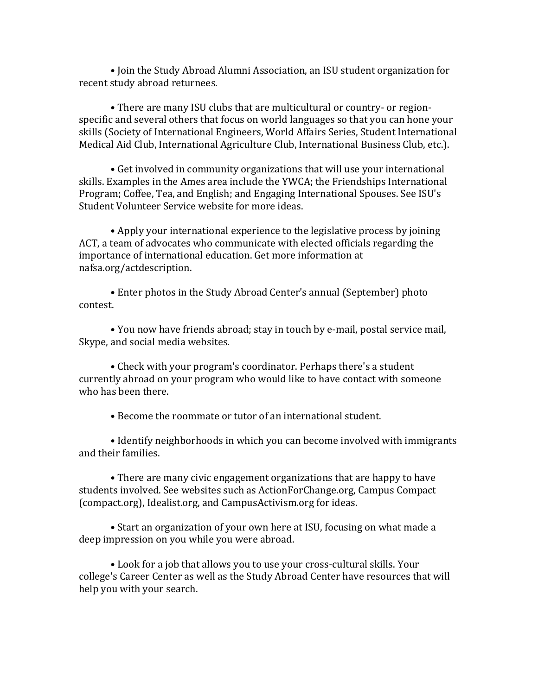• Join the Study Abroad Alumni Association, an ISU student organization for recent study abroad returnees.

• There are many ISU clubs that are multicultural or country- or regionspecific and several others that focus on world languages so that you can hone your skills (Society of International Engineers, World Affairs Series, Student International Medical Aid Club, International Agriculture Club, International Business Club, etc.).

• Get involved in community organizations that will use your international skills. Examples in the Ames area include the YWCA; the Friendships International Program; Coffee, Tea, and English; and Engaging International Spouses, See ISU's Student Volunteer Service website for more ideas.

• Apply your international experience to the legislative process by joining ACT, a team of advocates who communicate with elected officials regarding the importance of international education. Get more information at nafsa.org/actdescription.

• Enter photos in the Study Abroad Center's annual (September) photo contest.

• You now have friends abroad; stay in touch by e-mail, postal service mail, Skype, and social media websites.

• Check with your program's coordinator. Perhaps there's a student currently abroad on your program who would like to have contact with someone who has been there.

• Become the roommate or tutor of an international student.

• Identify neighborhoods in which you can become involved with immigrants and their families.

• There are many civic engagement organizations that are happy to have students involved. See websites such as ActionForChange.org, Campus Compact (compact.org), Idealist.org, and CampusActivism.org for ideas.

• Start an organization of your own here at ISU, focusing on what made a deep impression on you while you were abroad.

• Look for a job that allows you to use your cross-cultural skills. Your college's Career Center as well as the Study Abroad Center have resources that will help you with your search.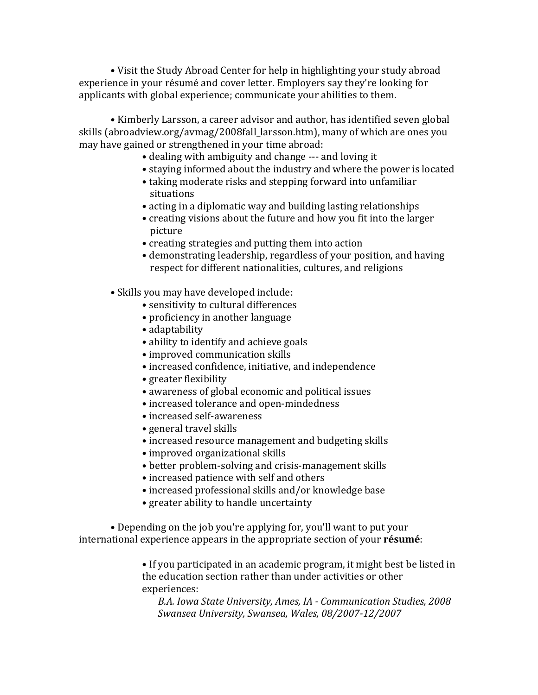• Visit the Study Abroad Center for help in highlighting your study abroad experience in your résumé and cover letter. Employers say they're looking for applicants with global experience; communicate your abilities to them.

• Kimberly Larsson, a career advisor and author, has identified seven global skills (abroadview.org/avmag/2008fall\_larsson.htm), many of which are ones you may have gained or strengthened in your time abroad:

- dealing with ambiguity and change --- and loving it
- staying informed about the industry and where the power is located
- taking moderate risks and stepping forward into unfamiliar situations
- acting in a diplomatic way and building lasting relationships
- creating visions about the future and how you fit into the larger picture
- creating strategies and putting them into action
- demonstrating leadership, regardless of your position, and having respect for different nationalities, cultures, and religions

• Skills you may have developed include:

- sensitivity to cultural differences
- proficiency in another language
- adaptability
- ability to identify and achieve goals
- improved communication skills
- increased confidence, initiative, and independence
- greater flexibility
- awareness of global economic and political issues
- increased tolerance and open-mindedness
- increased self-awareness
- general travel skills
- increased resource management and budgeting skills
- improved organizational skills
- better problem-solving and crisis-management skills
- increased patience with self and others
- increased professional skills and/or knowledge base
- greater ability to handle uncertainty

• Depending on the job you're applying for, you'll want to put your international experience appears in the appropriate section of your **résumé**:

> • If you participated in an academic program, it might best be listed in the education section rather than under activities or other experiences:

*B.A.+Iowa+State+University,+Ames,+IA+< Communication+Studies,+2008 Swansea+University,+Swansea,+Wales,+08/2007<12/2007*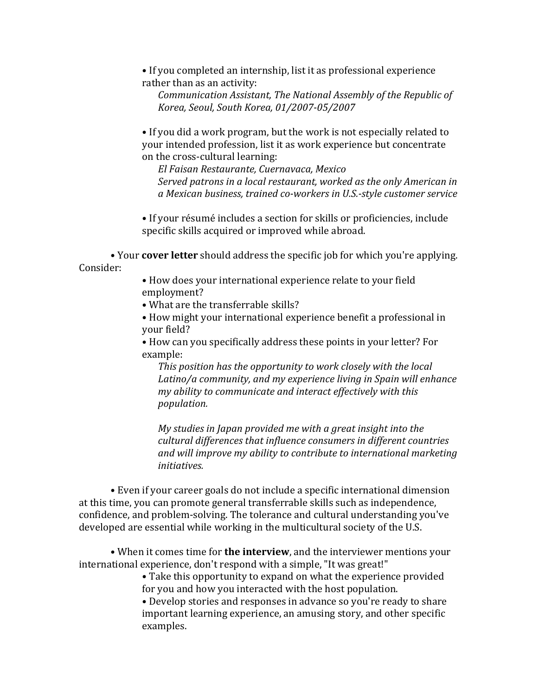• If you completed an internship, list it as professional experience rather than as an activity:

*Communication Assistant, The National Assembly of the Republic of Korea,+Seoul,+South+Korea,+01/2007<05/2007*

• If you did a work program, but the work is not especially related to your intended profession, list it as work experience but concentrate on the cross-cultural learning:

*El+Faisan+Restaurante,+Cuernavaca,+Mexico Served patrons in a local restaurant, worked as the only American in a+Mexican+business,+trained+co<workers+in+U.S.<style+customer+service+*

• If your résumé includes a section for skills or proficiencies, include specific skills acquired or improved while abroad.

• Your **cover letter** should address the specific job for which you're applying. Consider:

> • How does your international experience relate to your field employment?

• What are the transferrable skills?

• How might your international experience benefit a professional in your field?

• How can you specifically address these points in your letter? For example:

*This position has the opportunity to work closely with the local* Latino/a community, and my experience living in Spain will enhance *my ability to communicate and interact effectively with this population.*

*My studies in Japan provided me with a great insight into the cultural+differences+that+influence+consumers+in+different+countries+ and+will+improve+my+ability+to+contribute+to+international+marketing+ initiatives.*

• Even if your career goals do not include a specific international dimension at this time, you can promote general transferrable skills such as independence, confidence, and problem-solving. The tolerance and cultural understanding you've developed are essential while working in the multicultural society of the U.S.

• When it comes time for **the interview**, and the interviewer mentions your international experience, don't respond with a simple, "It was great!"

> • Take this opportunity to expand on what the experience provided for you and how you interacted with the host population.

> • Develop stories and responses in advance so you're ready to share important learning experience, an amusing story, and other specific examples.